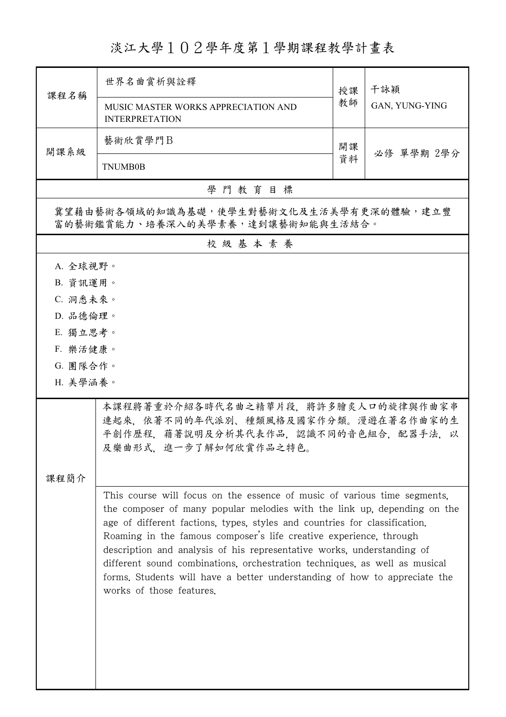淡江大學102學年度第1學期課程教學計畫表

| 課程名稱                                                                                                                                                                                                                                                                                                                                                                                                                                                                                                                                                                      | 世界名曲嘗析與詮釋                                                    | 授課 | 干詠穎<br>GAN, YUNG-YING |  |  |  |  |
|---------------------------------------------------------------------------------------------------------------------------------------------------------------------------------------------------------------------------------------------------------------------------------------------------------------------------------------------------------------------------------------------------------------------------------------------------------------------------------------------------------------------------------------------------------------------------|--------------------------------------------------------------|----|-----------------------|--|--|--|--|
|                                                                                                                                                                                                                                                                                                                                                                                                                                                                                                                                                                           | MUSIC MASTER WORKS APPRECIATION AND<br><b>INTERPRETATION</b> | 教師 |                       |  |  |  |  |
| 開課系級                                                                                                                                                                                                                                                                                                                                                                                                                                                                                                                                                                      | 藝術欣賞學門B                                                      | 開課 |                       |  |  |  |  |
|                                                                                                                                                                                                                                                                                                                                                                                                                                                                                                                                                                           | <b>TNUMB0B</b>                                               |    | 必修 單學期 2學分            |  |  |  |  |
|                                                                                                                                                                                                                                                                                                                                                                                                                                                                                                                                                                           | 學門教育目標                                                       |    |                       |  |  |  |  |
| 冀望藉由藝術各領域的知識為基礎,使學生對藝術文化及生活美學有更深的體驗,建立豐<br>富的藝術鑑賞能力、培養深入的美學素養,達到讓藝術知能與生活結合。                                                                                                                                                                                                                                                                                                                                                                                                                                                                                               |                                                              |    |                       |  |  |  |  |
| 校級基本素養                                                                                                                                                                                                                                                                                                                                                                                                                                                                                                                                                                    |                                                              |    |                       |  |  |  |  |
| A. 全球視野。                                                                                                                                                                                                                                                                                                                                                                                                                                                                                                                                                                  |                                                              |    |                       |  |  |  |  |
| B. 資訊運用。                                                                                                                                                                                                                                                                                                                                                                                                                                                                                                                                                                  |                                                              |    |                       |  |  |  |  |
| C. 洞悉未來。                                                                                                                                                                                                                                                                                                                                                                                                                                                                                                                                                                  |                                                              |    |                       |  |  |  |  |
| D. 品德倫理。<br>E. 獨立思考。                                                                                                                                                                                                                                                                                                                                                                                                                                                                                                                                                      |                                                              |    |                       |  |  |  |  |
| F. 樂活健康。                                                                                                                                                                                                                                                                                                                                                                                                                                                                                                                                                                  |                                                              |    |                       |  |  |  |  |
| G. 團隊合作。                                                                                                                                                                                                                                                                                                                                                                                                                                                                                                                                                                  |                                                              |    |                       |  |  |  |  |
| H. 美學涵養。                                                                                                                                                                                                                                                                                                                                                                                                                                                                                                                                                                  |                                                              |    |                       |  |  |  |  |
| 本課程將著重於介紹各時代名曲之精華片段,將許多膾炙人口的旋律與作曲家串<br>連起來。依著不同的年代派別、種類風格及國家作分類。漫遊在著名作曲家的生<br>平創作歷程,藉著說明及分析其代表作品,認識不同的音色組合,配器手法,以<br>及樂曲形式,進一步了解如何欣賞作品之特色。                                                                                                                                                                                                                                                                                                                                                                                                                                |                                                              |    |                       |  |  |  |  |
| 课程简介                                                                                                                                                                                                                                                                                                                                                                                                                                                                                                                                                                      |                                                              |    |                       |  |  |  |  |
| This course will focus on the essence of music of various time segments,<br>the composer of many popular melodies with the link up, depending on the<br>age of different factions, types, styles and countries for classification.<br>Roaming in the famous composer's life creative experience, through<br>description and analysis of his representative works, understanding of<br>different sound combinations, orchestration techniques, as well as musical<br>forms. Students will have a better understanding of how to appreciate the<br>works of those features. |                                                              |    |                       |  |  |  |  |
|                                                                                                                                                                                                                                                                                                                                                                                                                                                                                                                                                                           |                                                              |    |                       |  |  |  |  |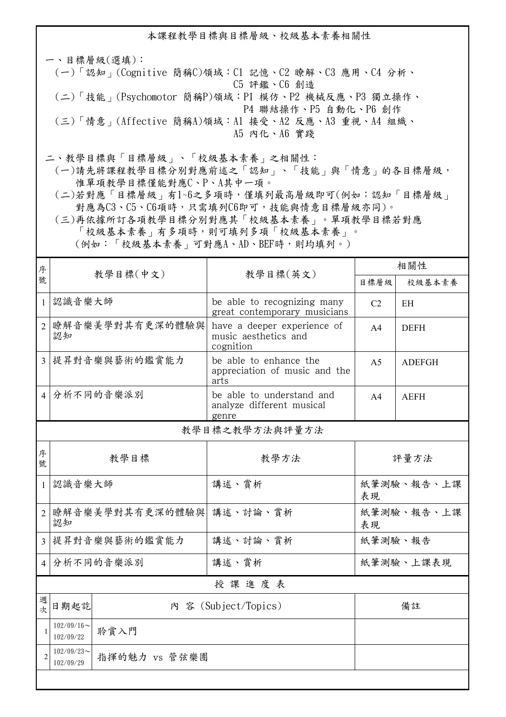本課程教學目標與目標層級、校級基本素養相關性

一、目標層級(選填): (一)「認知」(Cognitive 簡稱C)領域:C1 記憶、C2 瞭解、C3 應用、C4 分析、 C5 評鑑、C6 創造 (二)「技能」(Psychomotor 簡稱P)領域:P1 模仿、P2 機械反應、P3 獨立操作、 P4 聯結操作、P5 自動化、P6 創作 (三)「情意」(Affective 簡稱A)領域:A1 接受、A2 反應、A3 重視、A4 組織、 A5 內化、A6 實踐

二、教學目標與「目標層級」、「校級基本素養」之相關性:

 (一)請先將課程教學目標分別對應前述之「認知」、「技能」與「情意」的各目標層級, 惟單項教學目標僅能對應C、P、A其中一項。

 (二)若對應「目標層級」有1~6之多項時,僅填列最高層級即可(例如:認知「目標層級」 對應為C3、C5、C6項時,只需填列C6即可,技能與情意目標層級亦同)。

 (三)再依據所訂各項教學目標分別對應其「校級基本素養」。單項教學目標若對應 「校級基本素養」有多項時,則可填列多項「校級基本素養」。 (例如:「校級基本素養」可對應A、AD、BEF時,則均填列。)

| 序              |                                             |               | 教學目標(英文)                                                         | 相關性              |               |  |
|----------------|---------------------------------------------|---------------|------------------------------------------------------------------|------------------|---------------|--|
| 號              |                                             | 教學目標(中文)      |                                                                  | 目標層級             | 校級基本素養        |  |
| $\mathbf{1}$   | 認識音樂大師                                      |               | be able to recognizing many<br>great contemporary musicians      | C <sub>2</sub>   | EH            |  |
| $\overline{2}$ | 瞭解音樂美學對其有更深的體驗與<br>認知                       |               | have a deeper experience of<br>music aesthetics and<br>cognition | A4               | <b>DEFH</b>   |  |
| $\overline{3}$ |                                             | 提昇對音樂與藝術的鑑賞能力 | be able to enhance the<br>appreciation of music and the<br>arts  | A <sub>5</sub>   | <b>ADEFGH</b> |  |
| $\overline{4}$ |                                             | 分析不同的音樂派別     | be able to understand and<br>analyze different musical<br>genre  | A4               | <b>AEFH</b>   |  |
| 教學目標之教學方法與評量方法 |                                             |               |                                                                  |                  |               |  |
| 序<br>號         | 教學目標                                        |               | 教學方法                                                             | 評量方法             |               |  |
| $\mathbf{1}$   | 認識音樂大師                                      |               | 講述、賞析                                                            | 紙筆測驗、報告、上課<br>表現 |               |  |
| 2              | 瞭解音樂美學對其有更深的體驗與<br>認知                       |               | 講述、討論、賞析                                                         | 紙筆測驗、報告、上課<br>表現 |               |  |
| $\overline{3}$ | 提昇對音樂與藝術的鑑賞能力                               |               | 講述、討論、賞析                                                         | 紙筆測驗、報告          |               |  |
| $\overline{4}$ | 分析不同的音樂派別                                   |               | 講述、賞析                                                            | 紙筆測驗、上課表現        |               |  |
| 授課進度表          |                                             |               |                                                                  |                  |               |  |
| 週<br>文         | 日期起訖                                        |               | 内 容 (Subject/Topics)                                             |                  | 備註            |  |
| $\mathbf{1}$   | $102/09/16$ ~<br>102/09/22                  | 聆賞入門          |                                                                  |                  |               |  |
| $\overline{2}$ | $102/09/23$ ~<br>指揮的魅力 vs 管弦樂團<br>102/09/29 |               |                                                                  |                  |               |  |
|                |                                             |               |                                                                  |                  |               |  |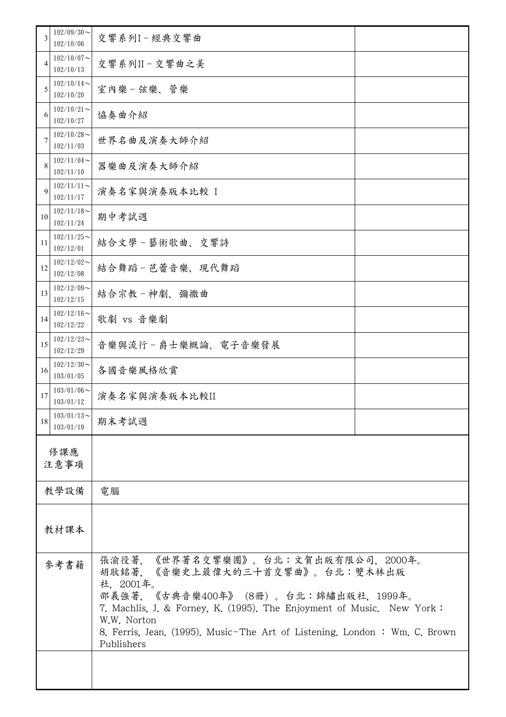| 3           | $102/09/30$ ~<br>102/10/06                   | 交響系列I-經典交響曲                                                                                                                                                                                                                                                                                                     |  |  |
|-------------|----------------------------------------------|-----------------------------------------------------------------------------------------------------------------------------------------------------------------------------------------------------------------------------------------------------------------------------------------------------------------|--|--|
| 4           | $102/10/07$ ~<br>102/10/13                   | 交響系列II-交響曲之美                                                                                                                                                                                                                                                                                                    |  |  |
| 5           | $102/10/14$ ~<br>102/10/20                   | 室內樂一弦樂、管樂                                                                                                                                                                                                                                                                                                       |  |  |
| 6           | $102/10/21$ ~<br>102/10/27                   | 協奏曲介紹                                                                                                                                                                                                                                                                                                           |  |  |
| 7           | $102/10/28$ ~<br>世界名曲及演奏大師介紹<br>102/11/03    |                                                                                                                                                                                                                                                                                                                 |  |  |
| 8           | $102/11/04$ ~<br>器樂曲及演奏大師介紹<br>102/11/10     |                                                                                                                                                                                                                                                                                                                 |  |  |
| $\mathbf Q$ | $102/11/11$ ~<br>102/11/17                   | 演奏名家與演奏版本比較 I                                                                                                                                                                                                                                                                                                   |  |  |
| 10          | $102/11/18$ ~<br>102/11/24                   | 期中考試週                                                                                                                                                                                                                                                                                                           |  |  |
| 11          | $102/11/25$ ~<br>結合文學-藝術歌曲、交響詩<br>102/12/01  |                                                                                                                                                                                                                                                                                                                 |  |  |
| 12          | $102/12/02$ ~<br>結合舞蹈-芭蕾音樂、現代舞蹈<br>102/12/08 |                                                                                                                                                                                                                                                                                                                 |  |  |
| 13          | $102/12/09$ ~<br>102/12/15                   | 結合宗教-神劇、彌撒曲                                                                                                                                                                                                                                                                                                     |  |  |
| 14          | $102/12/16$ ~<br>102/12/22                   | 歌劇 vs 音樂劇                                                                                                                                                                                                                                                                                                       |  |  |
| 15          | $102/12/23$ ~<br>102/12/29                   | 音樂與流行-爵士樂概論、電子音樂發展                                                                                                                                                                                                                                                                                              |  |  |
| 16          | $102/12/30$ ~<br>103/01/05                   | 各國音樂風格欣賞                                                                                                                                                                                                                                                                                                        |  |  |
| 17          | $103/01/06$ ~<br>103/01/12                   | 演奏名家與演奏版本比較II                                                                                                                                                                                                                                                                                                   |  |  |
| 18          | $103/01/13$ ~<br>103/01/19                   | 期末考試週                                                                                                                                                                                                                                                                                                           |  |  |
| 修課應<br>注意事項 |                                              |                                                                                                                                                                                                                                                                                                                 |  |  |
|             | 教學設備                                         | 電腦                                                                                                                                                                                                                                                                                                              |  |  |
|             |                                              |                                                                                                                                                                                                                                                                                                                 |  |  |
| 教材課本        |                                              |                                                                                                                                                                                                                                                                                                                 |  |  |
| 參考書籍        |                                              | 張渝役著,《世界著名交響樂團》。台北:文賀出版有限公司,2000年。<br>胡耿銘著, 《音樂史上最偉大的三十首交響曲》。台北:雙木林出版<br>社, 2001年。<br>邵義強著, 《古典音樂400年》 (8冊)。台北:錦繡出版社, 1999年。<br>7. Machlis, J. & Forney, K. (1995). The Enjoyment of Music. New York:<br>W.W. Norton<br>8. Ferris, Jean. (1995). Music-The Art of Listening. London: Wm. C. Brown<br>Publishers |  |  |
|             |                                              |                                                                                                                                                                                                                                                                                                                 |  |  |